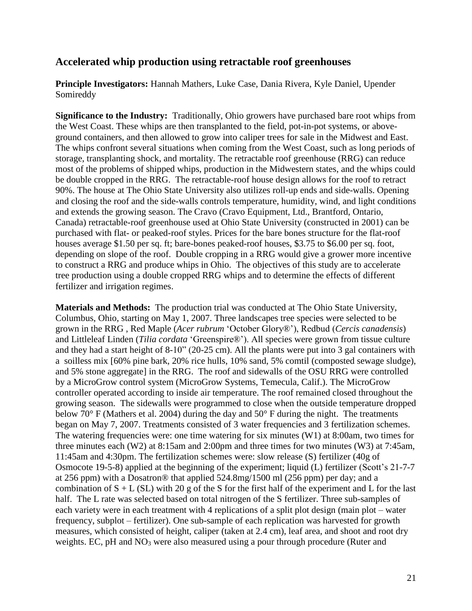## **Accelerated whip production using retractable roof greenhouses**

**Principle Investigators:** Hannah Mathers, Luke Case, Dania Rivera, Kyle Daniel, Upender Somireddy

**Significance to the Industry:** Traditionally, Ohio growers have purchased bare root whips from the West Coast. These whips are then transplanted to the field, pot-in-pot systems, or aboveground containers, and then allowed to grow into caliper trees for sale in the Midwest and East. The whips confront several situations when coming from the West Coast, such as long periods of storage, transplanting shock, and mortality. The retractable roof greenhouse (RRG) can reduce most of the problems of shipped whips, production in the Midwestern states, and the whips could be double cropped in the RRG. The retractable-roof house design allows for the roof to retract 90%. The house at The Ohio State University also utilizes roll-up ends and side-walls. Opening and closing the roof and the side-walls controls temperature, humidity, wind, and light conditions and extends the growing season. The Cravo (Cravo Equipment, Ltd., Brantford, Ontario, Canada) retractable-roof greenhouse used at Ohio State University (constructed in 2001) can be purchased with flat- or peaked-roof styles. Prices for the bare bones structure for the flat-roof houses average \$1.50 per sq. ft; bare-bones peaked-roof houses, \$3.75 to \$6.00 per sq. foot, depending on slope of the roof. Double cropping in a RRG would give a grower more incentive to construct a RRG and produce whips in Ohio. The objectives of this study are to accelerate tree production using a double cropped RRG whips and to determine the effects of different fertilizer and irrigation regimes.

**Materials and Methods:** The production trial was conducted at The Ohio State University, Columbus, Ohio, starting on May 1, 2007. Three landscapes tree species were selected to be grown in the RRG , Red Maple (*Acer rubrum* 'October Glory®'), Redbud (*Cercis canadensis*) and Littleleaf Linden (*Tilia cordata* 'Greenspire®'). All species were grown from tissue culture and they had a start height of 8-10" (20-25 cm). All the plants were put into 3 gal containers with a soilless mix [60% pine bark, 20% rice hulls, 10% sand, 5% comtil (composted sewage sludge), and 5% stone aggregate] in the RRG. The roof and sidewalls of the OSU RRG were controlled by a MicroGrow control system (MicroGrow Systems, Temecula, Calif.). The MicroGrow controller operated according to inside air temperature. The roof remained closed throughout the growing season. The sidewalls were programmed to close when the outside temperature dropped below 70° F (Mathers et al. 2004) during the day and 50° F during the night. The treatments began on May 7, 2007. Treatments consisted of 3 water frequencies and 3 fertilization schemes. The watering frequencies were: one time watering for six minutes (W1) at 8:00am, two times for three minutes each (W2) at 8:15am and 2:00pm and three times for two minutes (W3) at 7:45am, 11:45am and 4:30pm. The fertilization schemes were: slow release (S) fertilizer (40g of Osmocote 19-5-8) applied at the beginning of the experiment; liquid (L) fertilizer (Scott's 21-7-7 at 256 ppm) with a Dosatron® that applied 524.8mg/1500 ml (256 ppm) per day; and a combination of  $S + L(SL)$  with 20 g of the S for the first half of the experiment and L for the last half. The L rate was selected based on total nitrogen of the S fertilizer. Three sub-samples of each variety were in each treatment with 4 replications of a split plot design (main plot – water frequency, subplot – fertilizer). One sub-sample of each replication was harvested for growth measures, which consisted of height, caliper (taken at 2.4 cm), leaf area, and shoot and root dry weights. EC, pH and NO<sub>3</sub> were also measured using a pour through procedure (Ruter and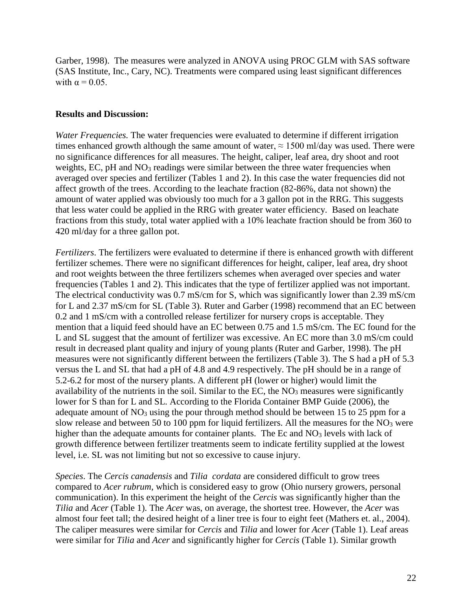Garber, 1998). The measures were analyzed in ANOVA using PROC GLM with SAS software (SAS Institute, Inc., Cary, NC). Treatments were compared using least significant differences with  $\alpha = 0.05$ .

## **Results and Discussion:**

*Water Frequencies.* The water frequencies were evaluated to determine if different irrigation times enhanced growth although the same amount of water,  $\approx 1500$  ml/day was used. There were no significance differences for all measures. The height, caliper, leaf area, dry shoot and root weights, EC, pH and NO<sub>3</sub> readings were similar between the three water frequencies when averaged over species and fertilizer (Tables 1 and 2). In this case the water frequencies did not affect growth of the trees. According to the leachate fraction (82-86%, data not shown) the amount of water applied was obviously too much for a 3 gallon pot in the RRG. This suggests that less water could be applied in the RRG with greater water efficiency. Based on leachate fractions from this study, total water applied with a 10% leachate fraction should be from 360 to 420 ml/day for a three gallon pot.

*Fertilizers*. The fertilizers were evaluated to determine if there is enhanced growth with different fertilizer schemes. There were no significant differences for height, caliper, leaf area, dry shoot and root weights between the three fertilizers schemes when averaged over species and water frequencies (Tables 1 and 2). This indicates that the type of fertilizer applied was not important. The electrical conductivity was 0.7 mS/cm for S, which was significantly lower than 2.39 mS/cm for L and 2.37 mS/cm for SL (Table 3). Ruter and Garber (1998) recommend that an EC between 0.2 and 1 mS/cm with a controlled release fertilizer for nursery crops is acceptable. They mention that a liquid feed should have an EC between 0.75 and 1.5 mS/cm. The EC found for the L and SL suggest that the amount of fertilizer was excessive. An EC more than 3.0 mS/cm could result in decreased plant quality and injury of young plants (Ruter and Garber, 1998). The pH measures were not significantly different between the fertilizers (Table 3). The S had a pH of 5.3 versus the L and SL that had a pH of 4.8 and 4.9 respectively. The pH should be in a range of 5.2-6.2 for most of the nursery plants. A different pH (lower or higher) would limit the availability of the nutrients in the soil. Similar to the EC, the  $NO<sub>3</sub>$  measures were significantly lower for S than for L and SL. According to the Florida Container BMP Guide (2006), the adequate amount of  $NO<sub>3</sub>$  using the pour through method should be between 15 to 25 ppm for a slow release and between 50 to 100 ppm for liquid fertilizers. All the measures for the  $NO<sub>3</sub>$  were higher than the adequate amounts for container plants. The Ec and  $NO<sub>3</sub>$  levels with lack of growth difference between fertilizer treatments seem to indicate fertility supplied at the lowest level, i.e. SL was not limiting but not so excessive to cause injury.

*Species*. The *Cercis canadensis* and *Tilia cordata* are considered difficult to grow trees compared to *Acer rubrum*, which is considered easy to grow (Ohio nursery growers, personal communication). In this experiment the height of the *Cercis* was significantly higher than the *Tilia* and *Acer* (Table 1). The *Acer* was, on average, the shortest tree. However, the *Acer* was almost four feet tall; the desired height of a liner tree is four to eight feet (Mathers et. al., 2004). The caliper measures were similar for *Cercis* and *Tilia* and lower for *Acer* (Table 1). Leaf areas were similar for *Tilia* and *Acer* and significantly higher for *Cercis* (Table 1). Similar growth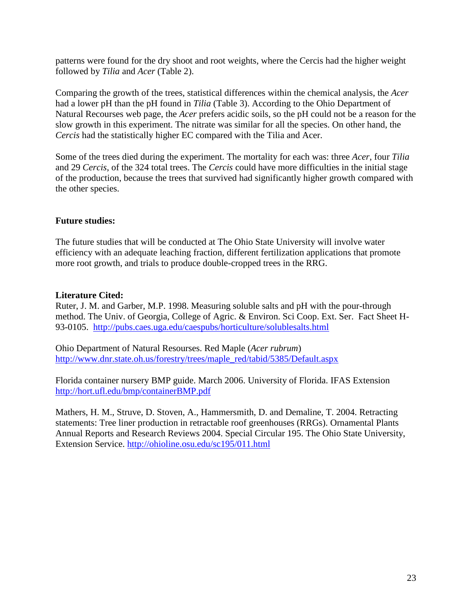patterns were found for the dry shoot and root weights, where the Cercis had the higher weight followed by *Tilia* and *Acer* (Table 2).

Comparing the growth of the trees, statistical differences within the chemical analysis, the *Acer*  had a lower pH than the pH found in *Tilia* (Table 3). According to the Ohio Department of Natural Recourses web page, the *Acer* prefers acidic soils, so the pH could not be a reason for the slow growth in this experiment. The nitrate was similar for all the species. On other hand, the *Cercis* had the statistically higher EC compared with the Tilia and Acer.

Some of the trees died during the experiment. The mortality for each was: three *Acer*, four *Tilia*  and 29 *Cercis*, of the 324 total trees. The *Cercis* could have more difficulties in the initial stage of the production, because the trees that survived had significantly higher growth compared with the other species.

## **Future studies:**

The future studies that will be conducted at The Ohio State University will involve water efficiency with an adequate leaching fraction, different fertilization applications that promote more root growth, and trials to produce double-cropped trees in the RRG.

## **Literature Cited:**

Ruter, J. M. and Garber, M.P. 1998. Measuring soluble salts and pH with the pour-through method. The Univ. of Georgia, College of Agric. & Environ. Sci Coop. Ext. Ser. Fact Sheet H-93-0105. <http://pubs.caes.uga.edu/caespubs/horticulture/solublesalts.html>

Ohio Department of Natural Resourses. Red Maple (*Acer rubrum*) [http://www.dnr.state.oh.us/forestry/trees/maple\\_red/tabid/5385/Default.aspx](http://www.dnr.state.oh.us/forestry/trees/maple_red/tabid/5385/Default.aspx)

Florida container nursery BMP guide. March 2006. University of Florida. IFAS Extension <http://hort.ufl.edu/bmp/containerBMP.pdf>

Mathers, H. M., Struve, D. Stoven, A., Hammersmith, D. and Demaline, T. 2004. Retracting statements: Tree liner production in retractable roof greenhouses (RRGs). Ornamental Plants Annual Reports and Research Reviews 2004. Special Circular 195. The Ohio State University, Extension Service.<http://ohioline.osu.edu/sc195/011.html>